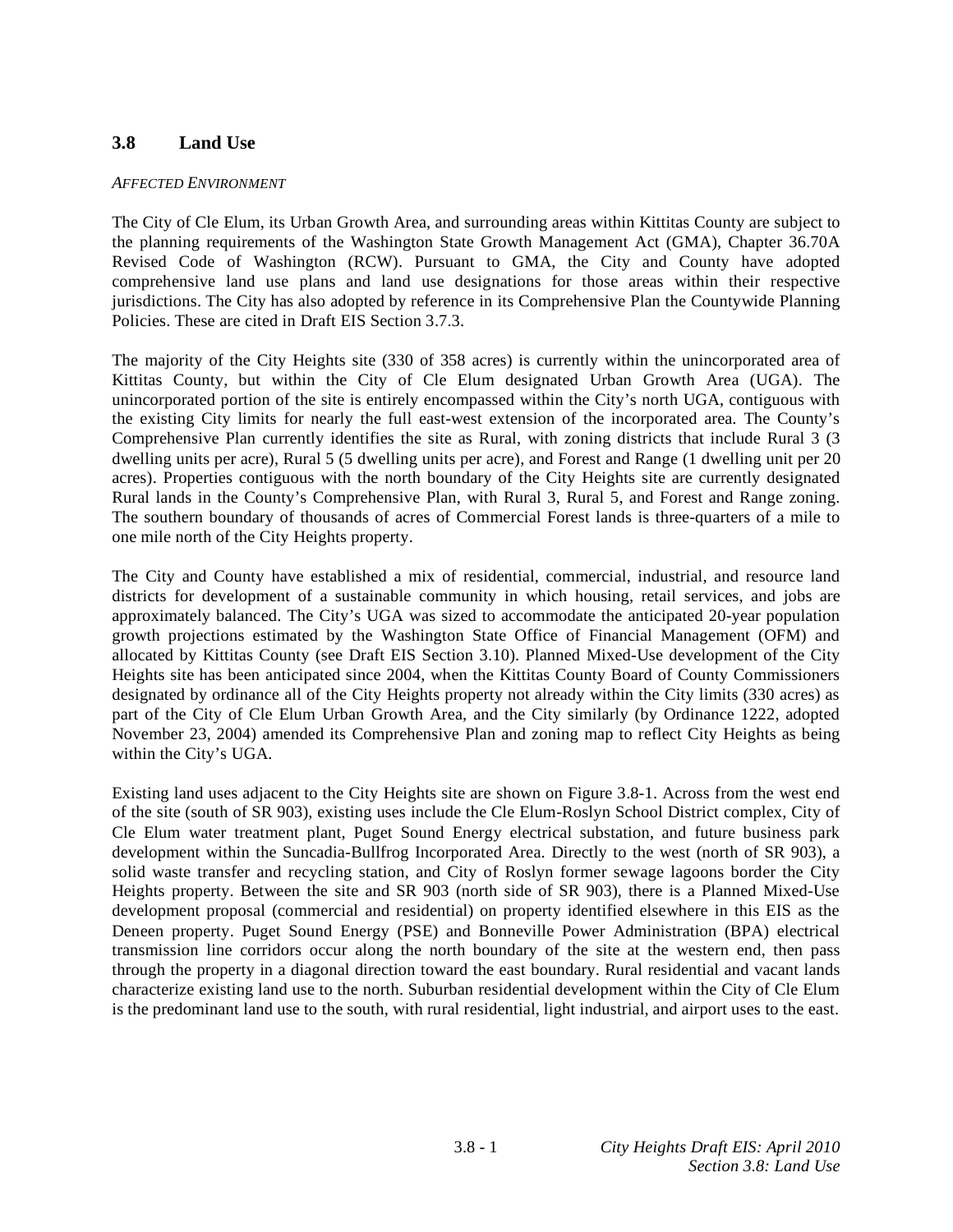# **3.8 Land Use**

#### *AFFECTED ENVIRONMENT*

The City of Cle Elum, its Urban Growth Area, and surrounding areas within Kittitas County are subject to the planning requirements of the Washington State Growth Management Act (GMA), Chapter 36.70A Revised Code of Washington (RCW). Pursuant to GMA, the City and County have adopted comprehensive land use plans and land use designations for those areas within their respective jurisdictions. The City has also adopted by reference in its Comprehensive Plan the Countywide Planning Policies. These are cited in Draft EIS Section 3.7.3.

The majority of the City Heights site (330 of 358 acres) is currently within the unincorporated area of Kittitas County, but within the City of Cle Elum designated Urban Growth Area (UGA). The unincorporated portion of the site is entirely encompassed within the City's north UGA, contiguous with the existing City limits for nearly the full east-west extension of the incorporated area. The County's Comprehensive Plan currently identifies the site as Rural, with zoning districts that include Rural 3 (3 dwelling units per acre), Rural 5 (5 dwelling units per acre), and Forest and Range (1 dwelling unit per 20 acres). Properties contiguous with the north boundary of the City Heights site are currently designated Rural lands in the County's Comprehensive Plan, with Rural 3, Rural 5, and Forest and Range zoning. The southern boundary of thousands of acres of Commercial Forest lands is three-quarters of a mile to one mile north of the City Heights property.

The City and County have established a mix of residential, commercial, industrial, and resource land districts for development of a sustainable community in which housing, retail services, and jobs are approximately balanced. The City's UGA was sized to accommodate the anticipated 20-year population growth projections estimated by the Washington State Office of Financial Management (OFM) and allocated by Kittitas County (see Draft EIS Section 3.10). Planned Mixed-Use development of the City Heights site has been anticipated since 2004, when the Kittitas County Board of County Commissioners designated by ordinance all of the City Heights property not already within the City limits (330 acres) as part of the City of Cle Elum Urban Growth Area, and the City similarly (by Ordinance 1222, adopted November 23, 2004) amended its Comprehensive Plan and zoning map to reflect City Heights as being within the City's UGA.

Existing land uses adjacent to the City Heights site are shown on Figure 3.8-1. Across from the west end of the site (south of SR 903), existing uses include the Cle Elum-Roslyn School District complex, City of Cle Elum water treatment plant, Puget Sound Energy electrical substation, and future business park development within the Suncadia-Bullfrog Incorporated Area. Directly to the west (north of SR 903), a solid waste transfer and recycling station, and City of Roslyn former sewage lagoons border the City Heights property. Between the site and SR 903 (north side of SR 903), there is a Planned Mixed-Use development proposal (commercial and residential) on property identified elsewhere in this EIS as the Deneen property. Puget Sound Energy (PSE) and Bonneville Power Administration (BPA) electrical transmission line corridors occur along the north boundary of the site at the western end, then pass through the property in a diagonal direction toward the east boundary. Rural residential and vacant lands characterize existing land use to the north. Suburban residential development within the City of Cle Elum is the predominant land use to the south, with rural residential, light industrial, and airport uses to the east.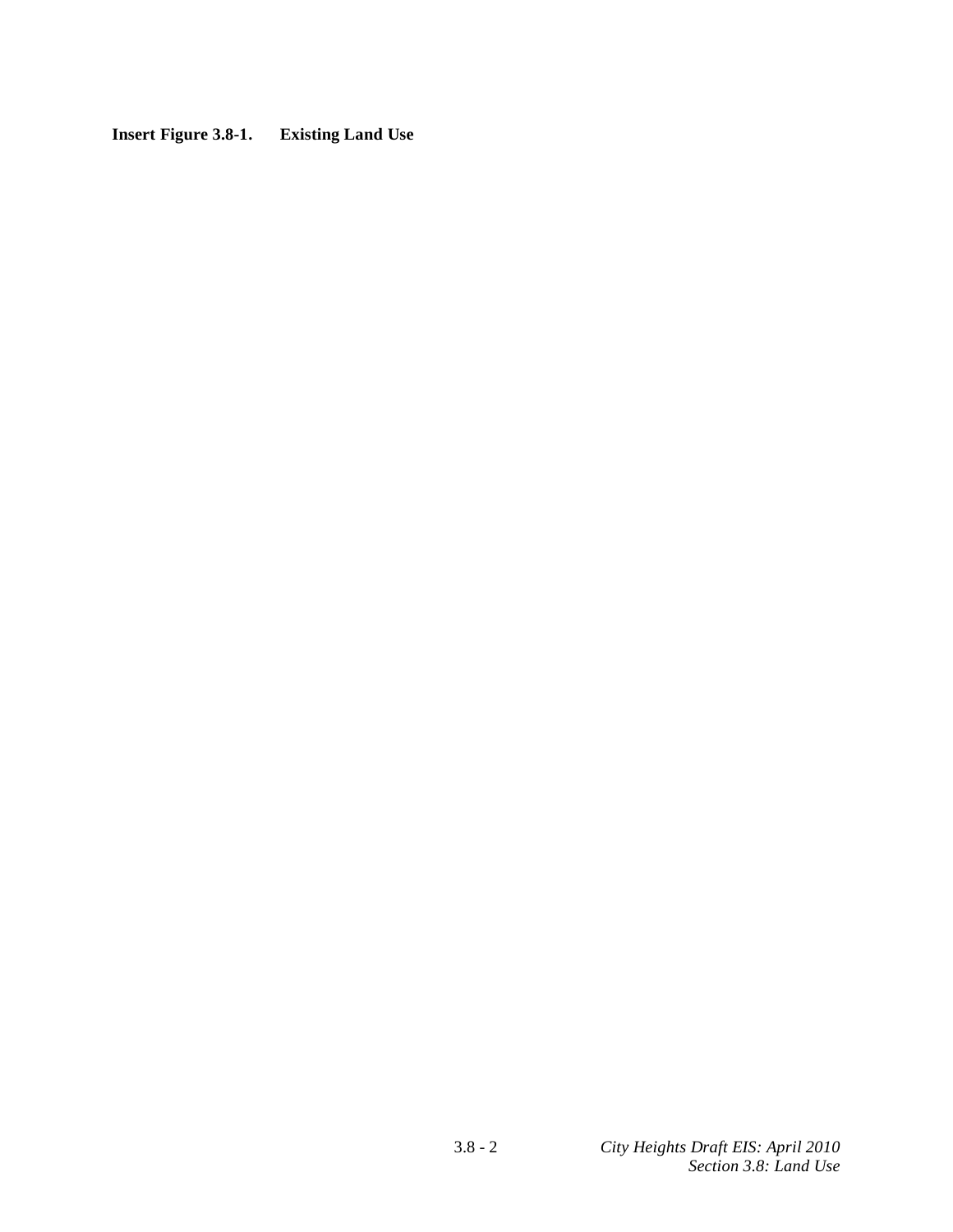# **Insert Figure 3.8-1. Existing Land Use**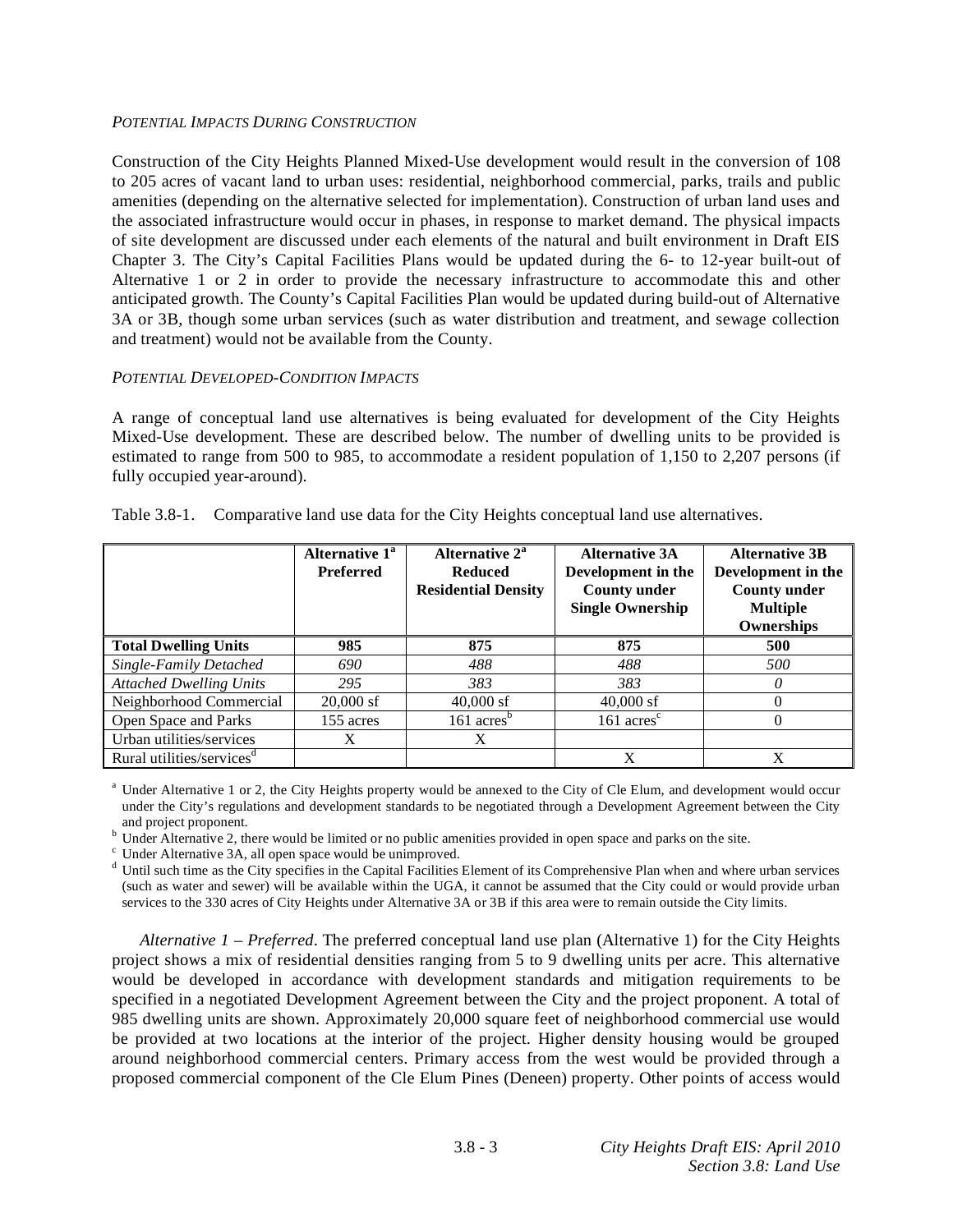#### *POTENTIAL IMPACTS DURING CONSTRUCTION*

Construction of the City Heights Planned Mixed-Use development would result in the conversion of 108 to 205 acres of vacant land to urban uses: residential, neighborhood commercial, parks, trails and public amenities (depending on the alternative selected for implementation). Construction of urban land uses and the associated infrastructure would occur in phases, in response to market demand. The physical impacts of site development are discussed under each elements of the natural and built environment in Draft EIS Chapter 3. The City's Capital Facilities Plans would be updated during the 6- to 12-year built-out of Alternative 1 or 2 in order to provide the necessary infrastructure to accommodate this and other anticipated growth. The County's Capital Facilities Plan would be updated during build-out of Alternative 3A or 3B, though some urban services (such as water distribution and treatment, and sewage collection and treatment) would not be available from the County.

## *POTENTIAL DEVELOPED-CONDITION IMPACTS*

A range of conceptual land use alternatives is being evaluated for development of the City Heights Mixed-Use development. These are described below. The number of dwelling units to be provided is estimated to range from 500 to 985, to accommodate a resident population of 1,150 to 2,207 persons (if fully occupied year-around).

|                                       | Alternative 1 <sup>a</sup><br><b>Preferred</b> | Alternative 2 <sup>a</sup><br><b>Reduced</b><br><b>Residential Density</b> | <b>Alternative 3A</b><br>Development in the<br><b>County under</b><br><b>Single Ownership</b> | <b>Alternative 3B</b><br>Development in the<br><b>County under</b><br><b>Multiple</b><br>Ownerships |
|---------------------------------------|------------------------------------------------|----------------------------------------------------------------------------|-----------------------------------------------------------------------------------------------|-----------------------------------------------------------------------------------------------------|
| <b>Total Dwelling Units</b>           | 985                                            | 875                                                                        | 875                                                                                           | 500                                                                                                 |
| Single-Family Detached                | 690                                            | 488                                                                        | 488                                                                                           | 500                                                                                                 |
| <b>Attached Dwelling Units</b>        | 295                                            | 383                                                                        | 383                                                                                           | 0                                                                                                   |
| Neighborhood Commercial               | $20,000$ sf                                    | $40,000$ sf                                                                | $40,000$ sf                                                                                   |                                                                                                     |
| Open Space and Parks                  | 155 acres                                      | $161 \text{ acres}^b$                                                      | $161 \text{ acres}^{\text{c}}$                                                                |                                                                                                     |
| Urban utilities/services              | Х                                              | X                                                                          |                                                                                               |                                                                                                     |
| Rural utilities/services <sup>d</sup> |                                                |                                                                            | X                                                                                             | X                                                                                                   |

| Table 3.8-1. Comparative land use data for the City Heights conceptual land use alternatives. |  |  |
|-----------------------------------------------------------------------------------------------|--|--|

<sup>a</sup> Under Alternative 1 or 2, the City Heights property would be annexed to the City of Cle Elum, and development would occur under the City's regulations and development standards to be negotiated through a Development Agreement between the City

and project proponent.<br><sup>b</sup> Under Alternative 2, there would be limited or no public amenities provided in open space and parks on the site.

<sup>c</sup> Under Alternative 3A, all open space would be unimproved.

<sup>d</sup> Until such time as the City specifies in the Capital Facilities Element of its Comprehensive Plan when and where urban services (such as water and sewer) will be available within the UGA, it cannot be assumed that the City could or would provide urban services to the 330 acres of City Heights under Alternative 3A or 3B if this area were to remain outside the City limits.

*Alternative 1 – Preferred*. The preferred conceptual land use plan (Alternative 1) for the City Heights project shows a mix of residential densities ranging from 5 to 9 dwelling units per acre. This alternative would be developed in accordance with development standards and mitigation requirements to be specified in a negotiated Development Agreement between the City and the project proponent. A total of 985 dwelling units are shown. Approximately 20,000 square feet of neighborhood commercial use would be provided at two locations at the interior of the project. Higher density housing would be grouped around neighborhood commercial centers. Primary access from the west would be provided through a proposed commercial component of the Cle Elum Pines (Deneen) property. Other points of access would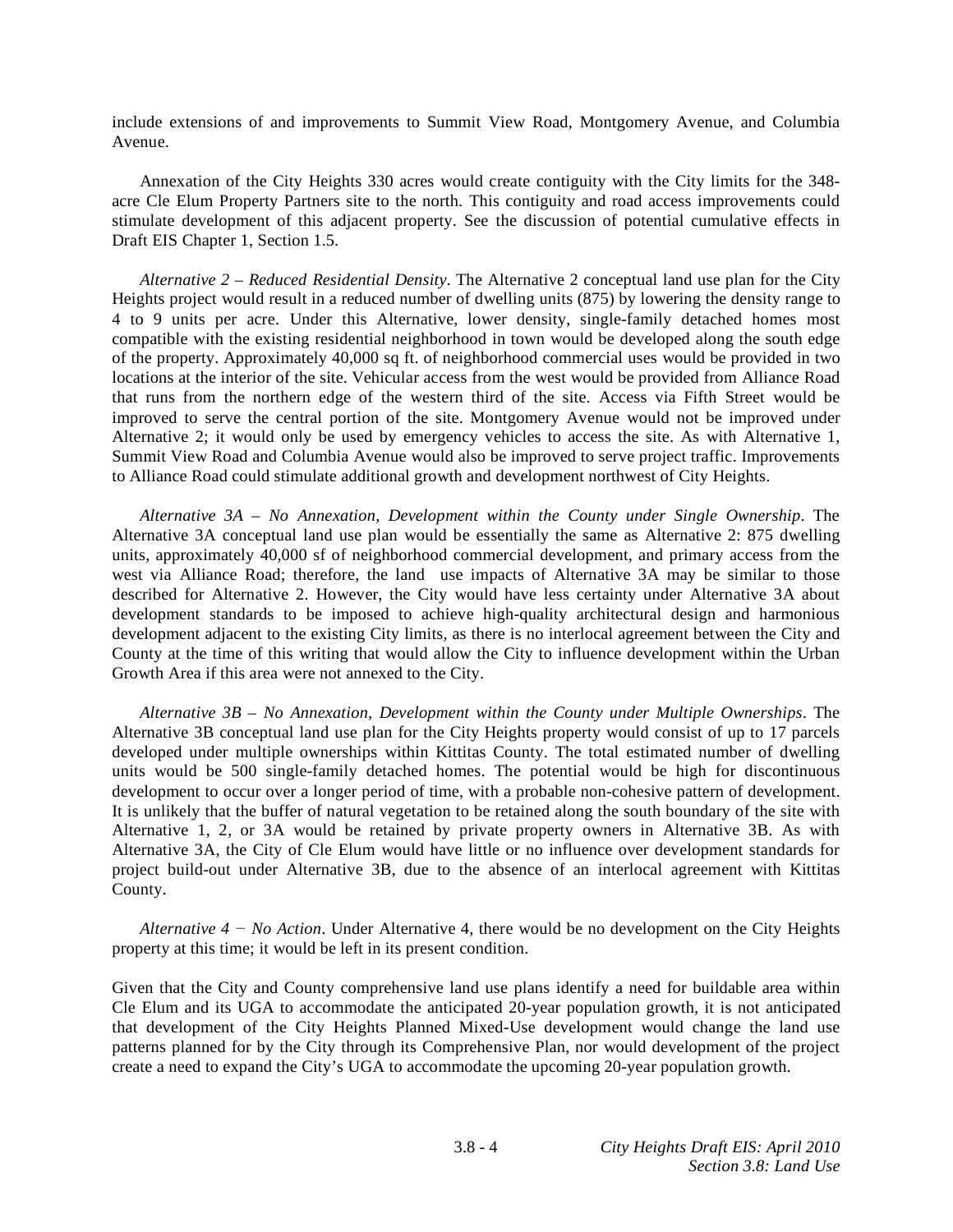include extensions of and improvements to Summit View Road, Montgomery Avenue, and Columbia Avenue.

 Annexation of the City Heights 330 acres would create contiguity with the City limits for the 348 acre Cle Elum Property Partners site to the north. This contiguity and road access improvements could stimulate development of this adjacent property. See the discussion of potential cumulative effects in Draft EIS Chapter 1, Section 1.5.

*Alternative 2 – Reduced Residential Density*. The Alternative 2 conceptual land use plan for the City Heights project would result in a reduced number of dwelling units (875) by lowering the density range to 4 to 9 units per acre. Under this Alternative, lower density, single-family detached homes most compatible with the existing residential neighborhood in town would be developed along the south edge of the property. Approximately 40,000 sq ft. of neighborhood commercial uses would be provided in two locations at the interior of the site. Vehicular access from the west would be provided from Alliance Road that runs from the northern edge of the western third of the site. Access via Fifth Street would be improved to serve the central portion of the site. Montgomery Avenue would not be improved under Alternative 2; it would only be used by emergency vehicles to access the site. As with Alternative 1, Summit View Road and Columbia Avenue would also be improved to serve project traffic. Improvements to Alliance Road could stimulate additional growth and development northwest of City Heights.

*Alternative 3A – No Annexation, Development within the County under Single Ownership*. The Alternative 3A conceptual land use plan would be essentially the same as Alternative 2: 875 dwelling units, approximately 40,000 sf of neighborhood commercial development, and primary access from the west via Alliance Road; therefore, the land use impacts of Alternative 3A may be similar to those described for Alternative 2. However, the City would have less certainty under Alternative 3A about development standards to be imposed to achieve high-quality architectural design and harmonious development adjacent to the existing City limits, as there is no interlocal agreement between the City and County at the time of this writing that would allow the City to influence development within the Urban Growth Area if this area were not annexed to the City.

*Alternative 3B – No Annexation, Development within the County under Multiple Ownerships*. The Alternative 3B conceptual land use plan for the City Heights property would consist of up to 17 parcels developed under multiple ownerships within Kittitas County. The total estimated number of dwelling units would be 500 single-family detached homes. The potential would be high for discontinuous development to occur over a longer period of time, with a probable non-cohesive pattern of development. It is unlikely that the buffer of natural vegetation to be retained along the south boundary of the site with Alternative 1, 2, or 3A would be retained by private property owners in Alternative 3B. As with Alternative 3A, the City of Cle Elum would have little or no influence over development standards for project build-out under Alternative 3B, due to the absence of an interlocal agreement with Kittitas County.

*Alternative*  $4 - No$  *Action.* Under Alternative 4, there would be no development on the City Heights property at this time; it would be left in its present condition.

Given that the City and County comprehensive land use plans identify a need for buildable area within Cle Elum and its UGA to accommodate the anticipated 20-year population growth, it is not anticipated that development of the City Heights Planned Mixed-Use development would change the land use patterns planned for by the City through its Comprehensive Plan, nor would development of the project create a need to expand the City's UGA to accommodate the upcoming 20-year population growth.